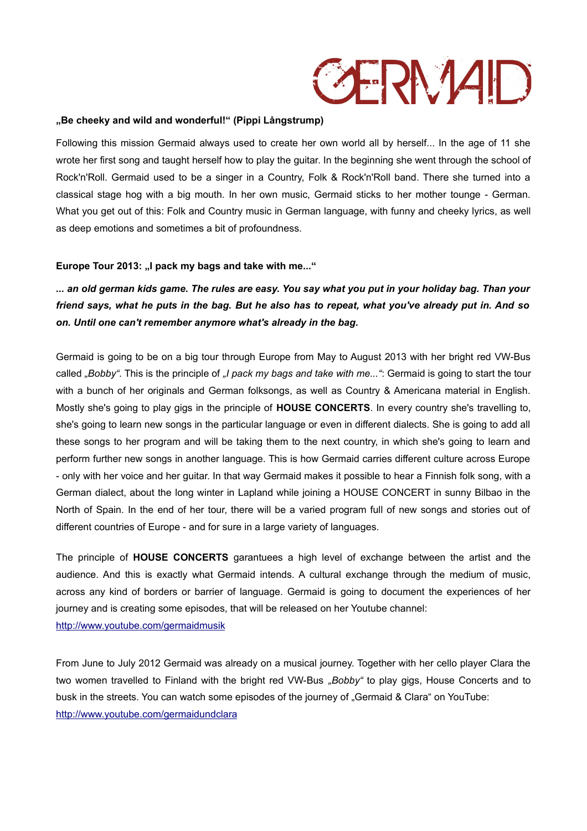## **GERNAD**

## **"Be cheeky and wild and wonderful!" (Pippi Långstrump)**

Following this mission Germaid always used to create her own world all by herself... In the age of 11 she wrote her first song and taught herself how to play the guitar. In the beginning she went through the school of Rock'n'Roll. Germaid used to be a singer in a Country, Folk & Rock'n'Roll band. There she turned into a classical stage hog with a big mouth. In her own music, Germaid sticks to her mother tounge - German. What you get out of this: Folk and Country music in German language, with funny and cheeky lyrics, as well as deep emotions and sometimes a bit of profoundness.

## Europe Tour 2013: "I pack my bags and take with me..."

*... an old german kids game. The rules are easy. You say what you put in your holiday bag. Than your friend says, what he puts in the bag. But he also has to repeat, what you've already put in. And so on. Until one can't remember anymore what's already in the bag.*

Germaid is going to be on a big tour through Europe from May to August 2013 with her bright red VW-Bus called *"Bobby"*. This is the principle of *"I pack my bags and take with me..."*: Germaid is going to start the tour with a bunch of her originals and German folksongs, as well as Country & Americana material in English. Mostly she's going to play gigs in the principle of **HOUSE CONCERTS**. In every country she's travelling to, she's going to learn new songs in the particular language or even in different dialects. She is going to add all these songs to her program and will be taking them to the next country, in which she's going to learn and perform further new songs in another language. This is how Germaid carries different culture across Europe - only with her voice and her guitar. In that way Germaid makes it possible to hear a Finnish folk song, with a German dialect, about the long winter in Lapland while joining a HOUSE CONCERT in sunny Bilbao in the North of Spain. In the end of her tour, there will be a varied program full of new songs and stories out of different countries of Europe - and for sure in a large variety of languages.

The principle of **HOUSE CONCERTS** garantuees a high level of exchange between the artist and the audience. And this is exactly what Germaid intends. A cultural exchange through the medium of music, across any kind of borders or barrier of language. Germaid is going to document the experiences of her journey and is creating some episodes, that will be released on her Youtube channel: <http://www.youtube.com/germaidmusik>

From June to July 2012 Germaid was already on a musical journey. Together with her cello player Clara the two women travelled to Finland with the bright red VW-Bus "Bobby" to play gigs, House Concerts and to busk in the streets. You can watch some episodes of the journey of "Germaid & Clara" on YouTube: <http://www.youtube.com/germaidundclara>